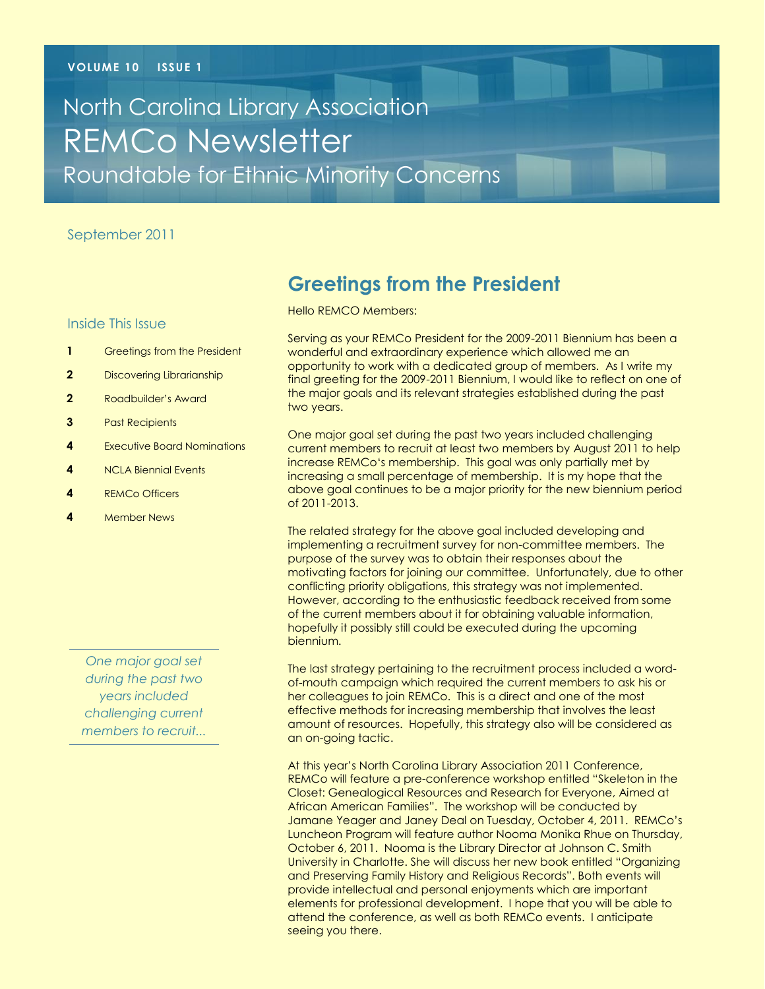# North Carolina Library Association REMCo Newsletter Roundtable for Ethnic Minority Concerns

#### September 2011

#### Inside This Issue

- **1** Greetings from the President
- **2** Discovering Librarianship
- **2** Roadbuilder's Award
- **3** Past Recipients
- **4** Executive Board Nominations
- **4** NCLA Biennial Events
- **4** REMCo Officers
- **4** Member News

*One major goal set during the past two years included challenging current members to recruit...*

# **Greetings from the President**

Hello REMCO Members:

Serving as your REMCo President for the 2009-2011 Biennium has been a wonderful and extraordinary experience which allowed me an opportunity to work with a dedicated group of members. As I write my final greeting for the 2009-2011 Biennium, I would like to reflect on one of the major goals and its relevant strategies established during the past two years.

One major goal set during the past two years included challenging current members to recruit at least two members by August 2011 to help increase REMCo‗s membership. This goal was only partially met by increasing a small percentage of membership. It is my hope that the above goal continues to be a major priority for the new biennium period of 2011-2013.

The related strategy for the above goal included developing and implementing a recruitment survey for non-committee members. The purpose of the survey was to obtain their responses about the motivating factors for joining our committee. Unfortunately, due to other conflicting priority obligations, this strategy was not implemented. However, according to the enthusiastic feedback received from some of the current members about it for obtaining valuable information, hopefully it possibly still could be executed during the upcoming biennium.

The last strategy pertaining to the recruitment process included a wordof-mouth campaign which required the current members to ask his or her colleagues to join REMCo. This is a direct and one of the most effective methods for increasing membership that involves the least amount of resources. Hopefully, this strategy also will be considered as an on-going tactic.

At this year's North Carolina Library Association 2011 Conference, REMCo will feature a pre-conference workshop entitled "Skeleton in the Closet: Genealogical Resources and Research for Everyone, Aimed at African American Families". The workshop will be conducted by Jamane Yeager and Janey Deal on Tuesday, October 4, 2011. REMCo's Luncheon Program will feature author Nooma Monika Rhue on Thursday, October 6, 2011. Nooma is the Library Director at Johnson C. Smith University in Charlotte. She will discuss her new book entitled "Organizing and Preserving Family History and Religious Records". Both events will provide intellectual and personal enjoyments which are important elements for professional development. I hope that you will be able to attend the conference, as well as both REMCo events. I anticipate seeing you there.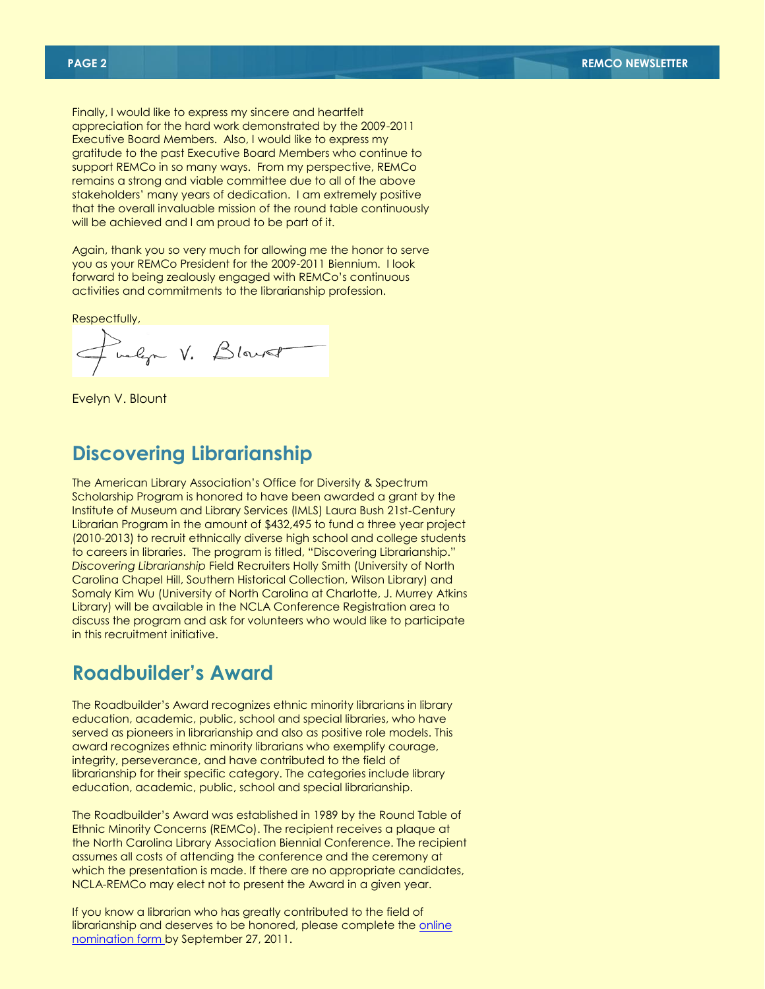Finally, I would like to express my sincere and heartfelt appreciation for the hard work demonstrated by the 2009-2011 Executive Board Members. Also, I would like to express my gratitude to the past Executive Board Members who continue to support REMCo in so many ways. From my perspective, REMCo remains a strong and viable committee due to all of the above stakeholders' many years of dedication. I am extremely positive that the overall invaluable mission of the round table continuously will be achieved and I am proud to be part of it.

Again, thank you so very much for allowing me the honor to serve you as your REMCo President for the 2009-2011 Biennium. I look forward to being zealously engaged with REMCo's continuous activities and commitments to the librarianship profession.

Respectfully,

balga V. Blans

Evelyn V. Blount

## **Discovering Librarianship**

The American Library Association's Office for Diversity & Spectrum Scholarship Program is honored to have been awarded a grant by the Institute of Museum and Library Services (IMLS) Laura Bush 21st-Century Librarian Program in the amount of \$432,495 to fund a three year project (2010-2013) to recruit ethnically diverse high school and college students to careers in libraries. The program is titled, "Discovering Librarianship." *Discovering Librarianship* Field Recruiters Holly Smith (University of North Carolina Chapel Hill, Southern Historical Collection, Wilson Library) and Somaly Kim Wu (University of North Carolina at Charlotte, J. Murrey Atkins Library) will be available in the NCLA Conference Registration area to discuss the program and ask for volunteers who would like to participate in this recruitment initiative.

### **Roadbuilder's Award**

The Roadbuilder's Award recognizes ethnic minority librarians in library education, academic, public, school and special libraries, who have served as pioneers in librarianship and also as positive role models. This award recognizes ethnic minority librarians who exemplify courage, integrity, perseverance, and have contributed to the field of librarianship for their specific category. The categories include library education, academic, public, school and special librarianship.

The Roadbuilder's Award was established in 1989 by the Round Table of Ethnic Minority Concerns (REMCo). The recipient receives a plaque at the North Carolina Library Association Biennial Conference. The recipient assumes all costs of attending the conference and the ceremony at which the presentation is made. If there are no appropriate candidates, NCLA-REMCo may elect not to present the Award in a given year.

If you know a librarian who has greatly contributed to the field of librarianship and deserves to be honored, please complete the online [nomination form b](http://www.nclaonline.org/remco/form/ncla-roadbuilders-award-remco-nomination-form)y September 27, 2011.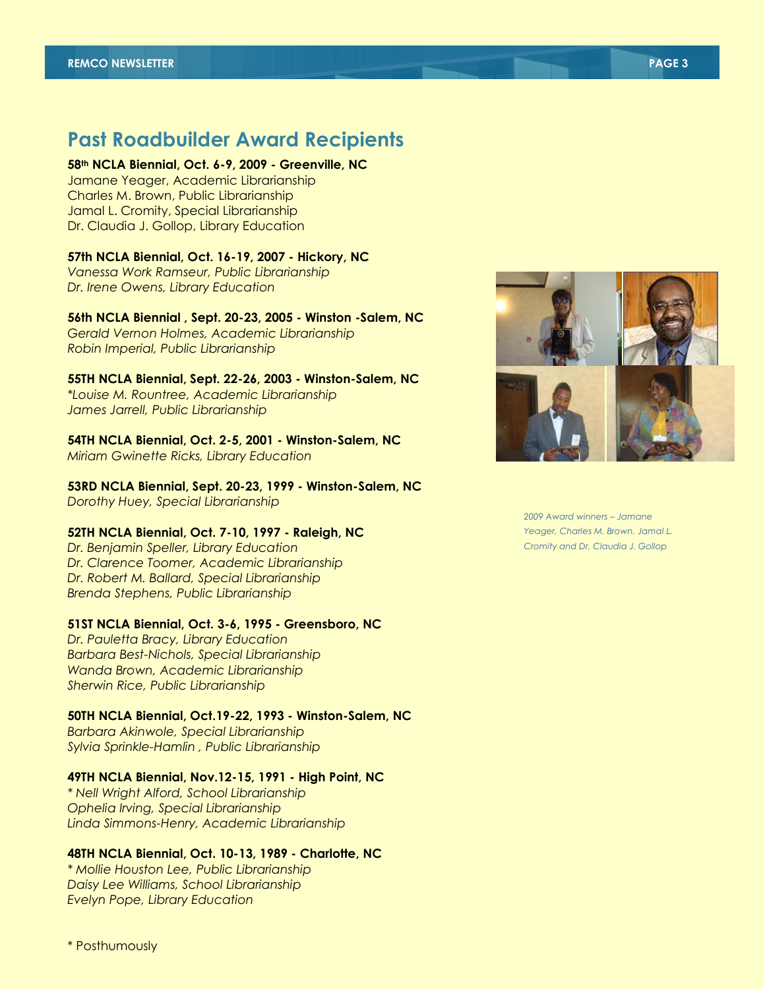### **Past Roadbuilder Award Recipients**

**58th NCLA Biennial, Oct. 6-9, 2009 - Greenville, NC** Jamane Yeager, Academic Librarianship Charles M. Brown, Public Librarianship Jamal L. Cromity, Special Librarianship Dr. Claudia J. Gollop, Library Education

#### **57th NCLA Biennial, Oct. 16-19, 2007 - Hickory, NC**

*Vanessa Work Ramseur, Public Librarianship Dr. Irene Owens, Library Education*

**56th NCLA Biennial , Sept. 20-23, 2005 - Winston -Salem, NC** *Gerald Vernon Holmes, Academic Librarianship*

*Robin Imperial, Public Librarianship*

#### **55TH NCLA Biennial, Sept. 22-26, 2003 - Winston-Salem, NC** *\*Louise M. Rountree, Academic Librarianship*

*James Jarrell, Public Librarianship*

### **54TH NCLA Biennial, Oct. 2-5, 2001 - Winston-Salem, NC**

*Miriam Gwinette Ricks, Library Education*

**53RD NCLA Biennial, Sept. 20-23, 1999 - Winston-Salem, NC** *Dorothy Huey, Special Librarianship*

#### **52TH NCLA Biennial, Oct. 7-10, 1997 - Raleigh, NC**

*Dr. Benjamin Speller, Library Education Dr. Clarence Toomer, Academic Librarianship Dr. Robert M. Ballard, Special Librarianship Brenda Stephens, Public Librarianship*

#### **51ST NCLA Biennial, Oct. 3-6, 1995 - Greensboro, NC**

*Dr. Pauletta Bracy, Library Education Barbara Best-Nichols, Special Librarianship Wanda Brown, Academic Librarianship Sherwin Rice, Public Librarianship*

#### **50TH NCLA Biennial, Oct.19-22, 1993 - Winston-Salem, NC**

*Barbara Akinwole, Special Librarianship Sylvia Sprinkle-Hamlin , Public Librarianship*

#### **49TH NCLA Biennial, Nov.12-15, 1991 - High Point, NC**

*\* Nell Wright Alford, School Librarianship Ophelia Irving, Special Librarianship Linda Simmons-Henry, Academic Librarianship*

#### **48TH NCLA Biennial, Oct. 10-13, 1989 - Charlotte, NC**

*\* Mollie Houston Lee, Public Librarianship Daisy Lee Williams, School Librarianship Evelyn Pope, Library Education*

*2009 Award winners – Jamane Yeager, Charles M. Brown, Jamal L. Cromity and Dr. Claudia J. Gollop*